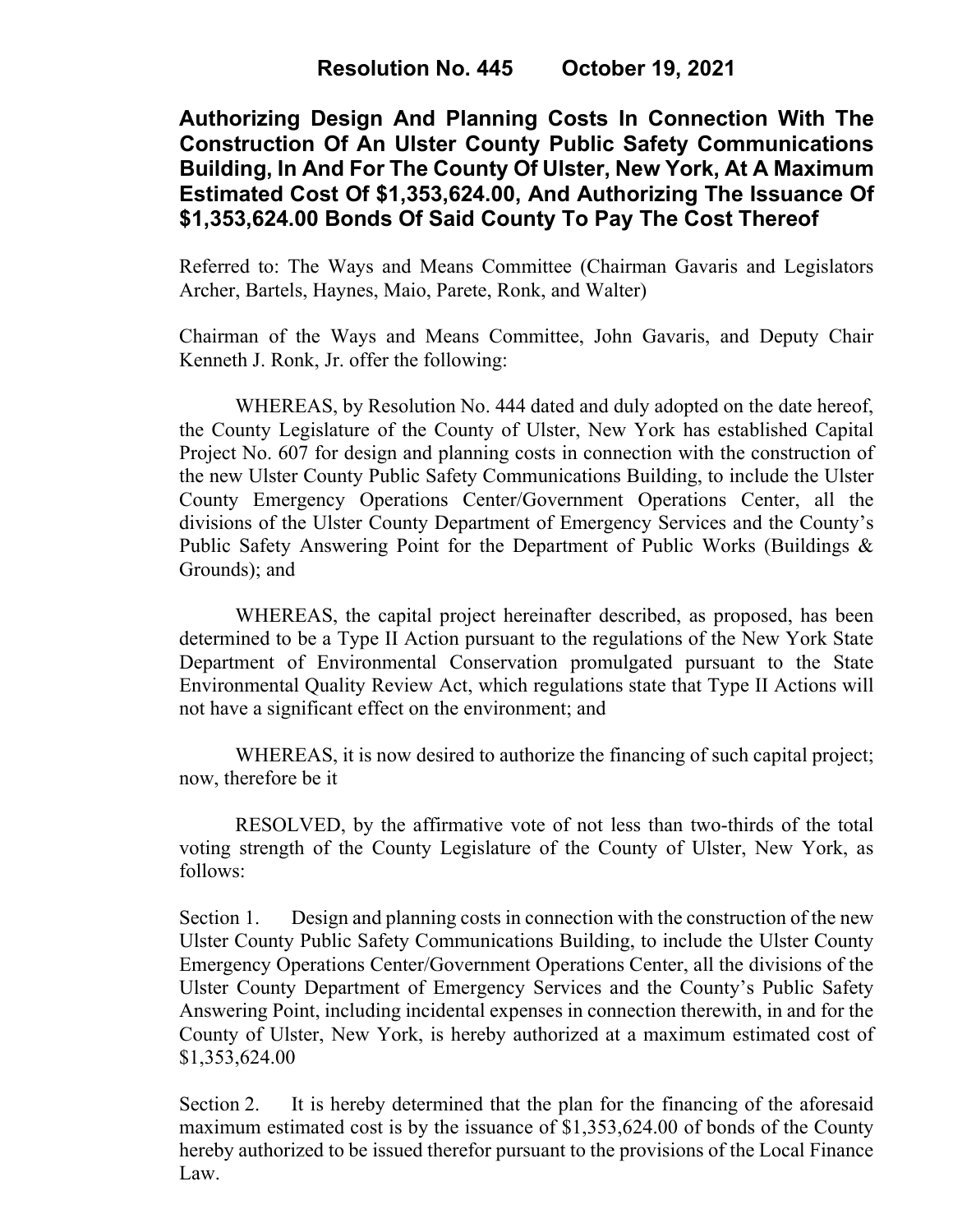## **Authorizing Design And Planning Costs In Connection With The Construction Of An Ulster County Public Safety Communications Building, In And For The County Of Ulster, New York, At A Maximum Estimated Cost Of \$1,353,624.00, And Authorizing The Issuance Of \$1,353,624.00 Bonds Of Said County To Pay The Cost Thereof**

Referred to: The Ways and Means Committee (Chairman Gavaris and Legislators Archer, Bartels, Haynes, Maio, Parete, Ronk, and Walter)

Chairman of the Ways and Means Committee, John Gavaris, and Deputy Chair Kenneth J. Ronk, Jr. offer the following:

WHEREAS, by Resolution No. 444 dated and duly adopted on the date hereof, the County Legislature of the County of Ulster, New York has established Capital Project No. 607 for design and planning costs in connection with the construction of the new Ulster County Public Safety Communications Building, to include the Ulster County Emergency Operations Center/Government Operations Center, all the divisions of the Ulster County Department of Emergency Services and the County's Public Safety Answering Point for the Department of Public Works (Buildings & Grounds); and

WHEREAS, the capital project hereinafter described, as proposed, has been determined to be a Type II Action pursuant to the regulations of the New York State Department of Environmental Conservation promulgated pursuant to the State Environmental Quality Review Act, which regulations state that Type II Actions will not have a significant effect on the environment; and

WHEREAS, it is now desired to authorize the financing of such capital project; now, therefore be it

RESOLVED, by the affirmative vote of not less than two-thirds of the total voting strength of the County Legislature of the County of Ulster, New York, as follows:

Section 1. Design and planning costs in connection with the construction of the new Ulster County Public Safety Communications Building, to include the Ulster County Emergency Operations Center/Government Operations Center, all the divisions of the Ulster County Department of Emergency Services and the County's Public Safety Answering Point, including incidental expenses in connection therewith, in and for the County of Ulster, New York, is hereby authorized at a maximum estimated cost of \$1,353,624.00

Section 2. It is hereby determined that the plan for the financing of the aforesaid maximum estimated cost is by the issuance of \$1,353,624.00 of bonds of the County hereby authorized to be issued therefor pursuant to the provisions of the Local Finance Law.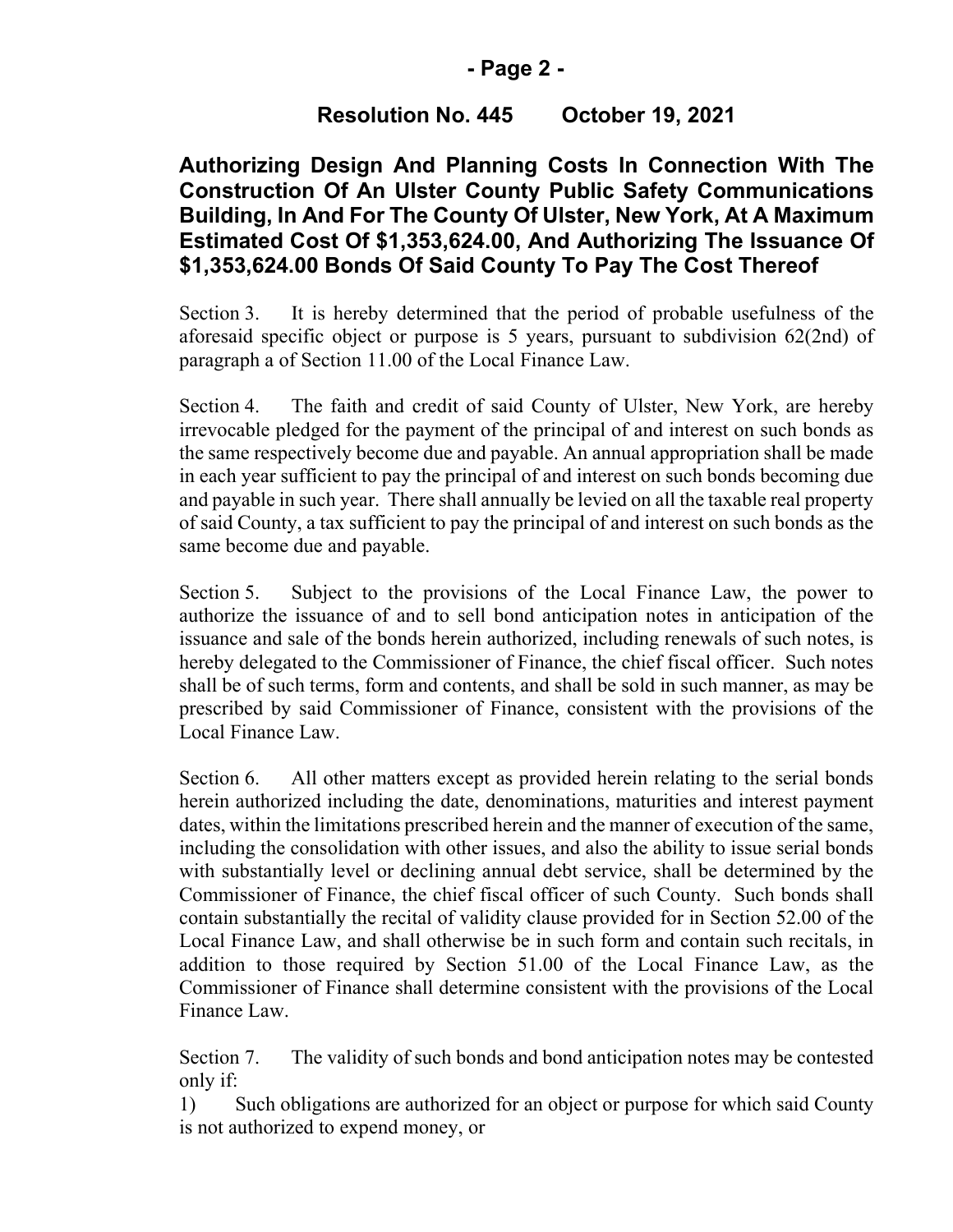#### **- Page 2 -**

# **Resolution No. 445 October 19, 2021**

## **Authorizing Design And Planning Costs In Connection With The Construction Of An Ulster County Public Safety Communications Building, In And For The County Of Ulster, New York, At A Maximum Estimated Cost Of \$1,353,624.00, And Authorizing The Issuance Of \$1,353,624.00 Bonds Of Said County To Pay The Cost Thereof**

Section 3. It is hereby determined that the period of probable usefulness of the aforesaid specific object or purpose is 5 years, pursuant to subdivision 62(2nd) of paragraph a of Section 11.00 of the Local Finance Law.

Section 4. The faith and credit of said County of Ulster, New York, are hereby irrevocable pledged for the payment of the principal of and interest on such bonds as the same respectively become due and payable. An annual appropriation shall be made in each year sufficient to pay the principal of and interest on such bonds becoming due and payable in such year. There shall annually be levied on all the taxable real property of said County, a tax sufficient to pay the principal of and interest on such bonds as the same become due and payable.

Section 5. Subject to the provisions of the Local Finance Law, the power to authorize the issuance of and to sell bond anticipation notes in anticipation of the issuance and sale of the bonds herein authorized, including renewals of such notes, is hereby delegated to the Commissioner of Finance, the chief fiscal officer. Such notes shall be of such terms, form and contents, and shall be sold in such manner, as may be prescribed by said Commissioner of Finance, consistent with the provisions of the Local Finance Law.

Section 6. All other matters except as provided herein relating to the serial bonds herein authorized including the date, denominations, maturities and interest payment dates, within the limitations prescribed herein and the manner of execution of the same, including the consolidation with other issues, and also the ability to issue serial bonds with substantially level or declining annual debt service, shall be determined by the Commissioner of Finance, the chief fiscal officer of such County. Such bonds shall contain substantially the recital of validity clause provided for in Section 52.00 of the Local Finance Law, and shall otherwise be in such form and contain such recitals, in addition to those required by Section 51.00 of the Local Finance Law, as the Commissioner of Finance shall determine consistent with the provisions of the Local Finance Law.

Section 7. The validity of such bonds and bond anticipation notes may be contested only if:

1) Such obligations are authorized for an object or purpose for which said County is not authorized to expend money, or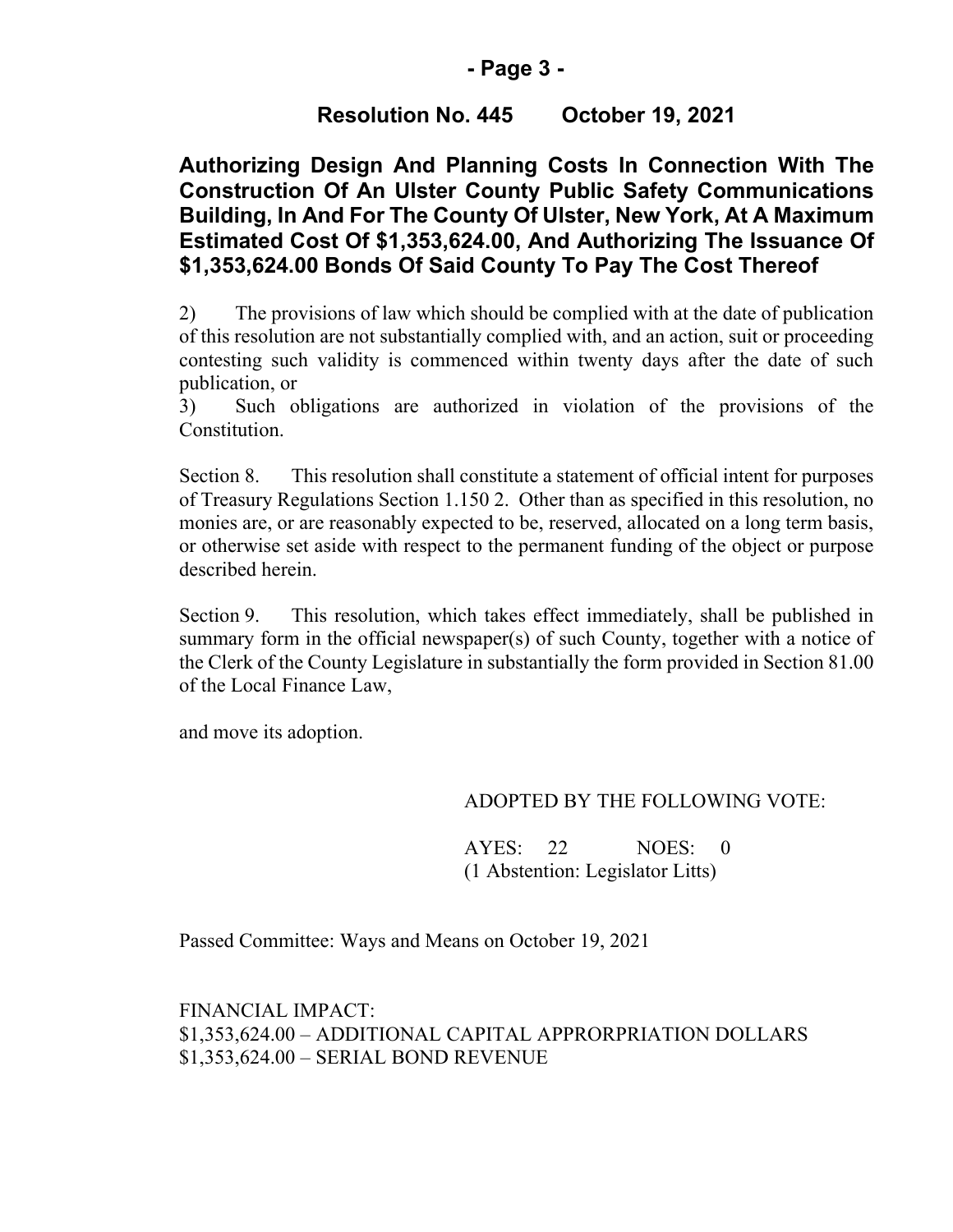#### **- Page 3 -**

# **Resolution No. 445 October 19, 2021**

## **Authorizing Design And Planning Costs In Connection With The Construction Of An Ulster County Public Safety Communications Building, In And For The County Of Ulster, New York, At A Maximum Estimated Cost Of \$1,353,624.00, And Authorizing The Issuance Of \$1,353,624.00 Bonds Of Said County To Pay The Cost Thereof**

2) The provisions of law which should be complied with at the date of publication of this resolution are not substantially complied with, and an action, suit or proceeding contesting such validity is commenced within twenty days after the date of such publication, or

3) Such obligations are authorized in violation of the provisions of the Constitution.

Section 8. This resolution shall constitute a statement of official intent for purposes of Treasury Regulations Section 1.150 2. Other than as specified in this resolution, no monies are, or are reasonably expected to be, reserved, allocated on a long term basis, or otherwise set aside with respect to the permanent funding of the object or purpose described herein.

Section 9. This resolution, which takes effect immediately, shall be published in summary form in the official newspaper(s) of such County, together with a notice of the Clerk of the County Legislature in substantially the form provided in Section 81.00 of the Local Finance Law,

and move its adoption.

#### ADOPTED BY THE FOLLOWING VOTE:

AYES: 22 NOES: 0 (1 Abstention: Legislator Litts)

Passed Committee: Ways and Means on October 19, 2021

FINANCIAL IMPACT: \$1,353,624.00 – ADDITIONAL CAPITAL APPRORPRIATION DOLLARS \$1,353,624.00 – SERIAL BOND REVENUE